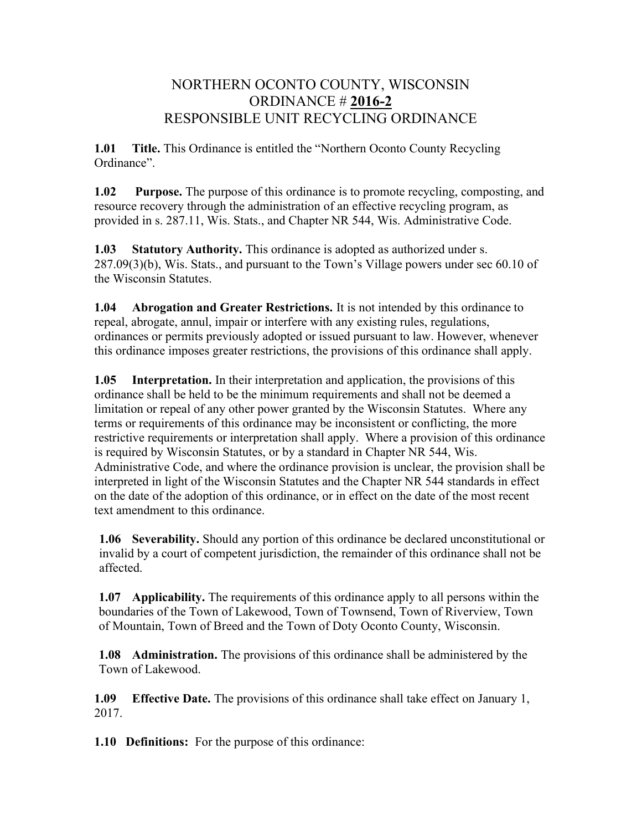# NORTHERN OCONTO COUNTY, WISCONSIN ORDINANCE # 2016-2 RESPONSIBLE UNIT RECYCLING ORDINANCE

1.01 Title. This Ordinance is entitled the "Northern Oconto County Recycling Ordinance".

1.02 Purpose. The purpose of this ordinance is to promote recycling, composting, and resource recovery through the administration of an effective recycling program, as provided in s. 287.11, Wis. Stats., and Chapter NR 544, Wis. Administrative Code.

1.03 Statutory Authority. This ordinance is adopted as authorized under s. 287.09(3)(b), Wis. Stats., and pursuant to the Town's Village powers under sec 60.10 of the Wisconsin Statutes.

1.04 Abrogation and Greater Restrictions. It is not intended by this ordinance to repeal, abrogate, annul, impair or interfere with any existing rules, regulations, ordinances or permits previously adopted or issued pursuant to law. However, whenever this ordinance imposes greater restrictions, the provisions of this ordinance shall apply.

1.05 Interpretation. In their interpretation and application, the provisions of this ordinance shall be held to be the minimum requirements and shall not be deemed a limitation or repeal of any other power granted by the Wisconsin Statutes. Where any terms or requirements of this ordinance may be inconsistent or conflicting, the more restrictive requirements or interpretation shall apply. Where a provision of this ordinance is required by Wisconsin Statutes, or by a standard in Chapter NR 544, Wis. Administrative Code, and where the ordinance provision is unclear, the provision shall be interpreted in light of the Wisconsin Statutes and the Chapter NR 544 standards in effect on the date of the adoption of this ordinance, or in effect on the date of the most recent text amendment to this ordinance.

1.06 Severability. Should any portion of this ordinance be declared unconstitutional or invalid by a court of competent jurisdiction, the remainder of this ordinance shall not be affected.

1.07 Applicability. The requirements of this ordinance apply to all persons within the boundaries of the Town of Lakewood, Town of Townsend, Town of Riverview, Town of Mountain, Town of Breed and the Town of Doty Oconto County, Wisconsin.

1.08 Administration. The provisions of this ordinance shall be administered by the Town of Lakewood.

1.09 Effective Date. The provisions of this ordinance shall take effect on January 1, 2017.

1.10 Definitions: For the purpose of this ordinance: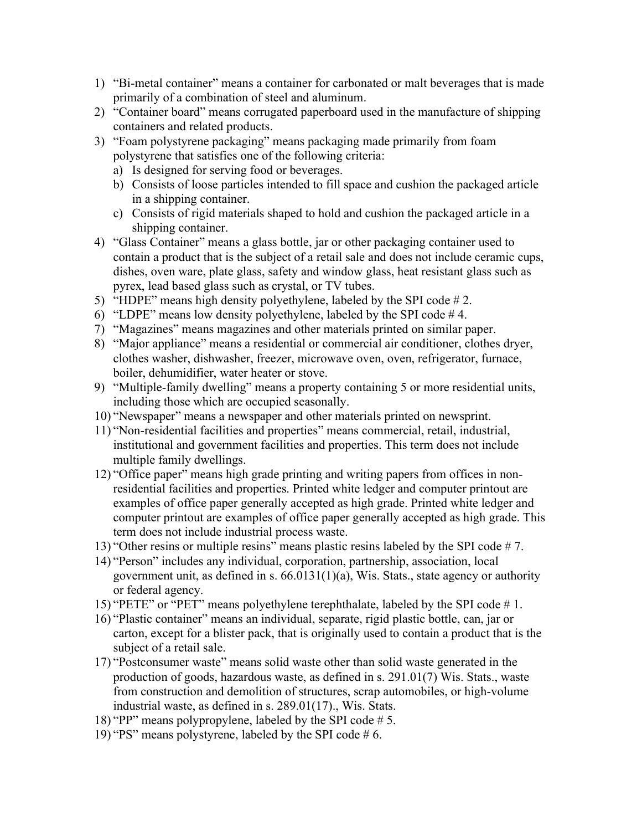- 1) "Bi-metal container" means a container for carbonated or malt beverages that is made primarily of a combination of steel and aluminum.
- 2) "Container board" means corrugated paperboard used in the manufacture of shipping containers and related products.
- 3) "Foam polystyrene packaging" means packaging made primarily from foam polystyrene that satisfies one of the following criteria:
	- a) Is designed for serving food or beverages.
	- b) Consists of loose particles intended to fill space and cushion the packaged article in a shipping container.
	- c) Consists of rigid materials shaped to hold and cushion the packaged article in a shipping container.
- 4) "Glass Container" means a glass bottle, jar or other packaging container used to contain a product that is the subject of a retail sale and does not include ceramic cups, dishes, oven ware, plate glass, safety and window glass, heat resistant glass such as pyrex, lead based glass such as crystal, or TV tubes.
- 5) "HDPE" means high density polyethylene, labeled by the SPI code # 2.
- 6) "LDPE" means low density polyethylene, labeled by the SPI code  $#4$ .
- 7) "Magazines" means magazines and other materials printed on similar paper.
- 8) "Major appliance" means a residential or commercial air conditioner, clothes dryer, clothes washer, dishwasher, freezer, microwave oven, oven, refrigerator, furnace, boiler, dehumidifier, water heater or stove.
- 9) "Multiple-family dwelling" means a property containing 5 or more residential units, including those which are occupied seasonally.
- 10) "Newspaper" means a newspaper and other materials printed on newsprint.
- 11) "Non-residential facilities and properties" means commercial, retail, industrial, institutional and government facilities and properties. This term does not include multiple family dwellings.
- 12) "Office paper" means high grade printing and writing papers from offices in nonresidential facilities and properties. Printed white ledger and computer printout are examples of office paper generally accepted as high grade. Printed white ledger and computer printout are examples of office paper generally accepted as high grade. This term does not include industrial process waste.
- 13) "Other resins or multiple resins" means plastic resins labeled by the SPI code # 7.
- 14) "Person" includes any individual, corporation, partnership, association, local government unit, as defined in s. 66.0131(1)(a), Wis. Stats., state agency or authority or federal agency.
- 15) "PETE" or "PET" means polyethylene terephthalate, labeled by the SPI code # 1.
- 16) "Plastic container" means an individual, separate, rigid plastic bottle, can, jar or carton, except for a blister pack, that is originally used to contain a product that is the subject of a retail sale.
- 17) "Postconsumer waste" means solid waste other than solid waste generated in the production of goods, hazardous waste, as defined in s. 291.01(7) Wis. Stats., waste from construction and demolition of structures, scrap automobiles, or high-volume industrial waste, as defined in s. 289.01(17)., Wis. Stats.
- 18) "PP" means polypropylene, labeled by the SPI code # 5.
- 19) "PS" means polystyrene, labeled by the SPI code # 6.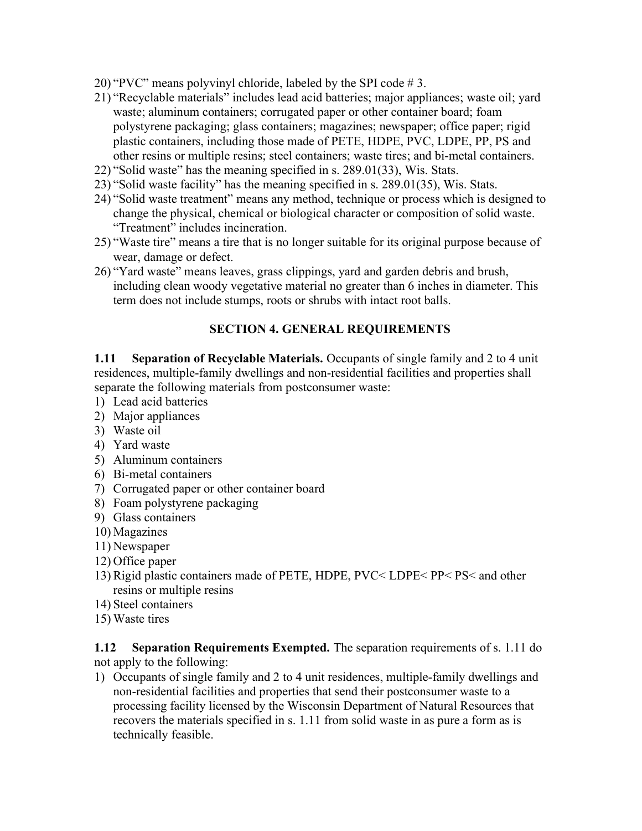- 20) "PVC" means polyvinyl chloride, labeled by the SPI code # 3.
- 21) "Recyclable materials" includes lead acid batteries; major appliances; waste oil; yard waste; aluminum containers; corrugated paper or other container board; foam polystyrene packaging; glass containers; magazines; newspaper; office paper; rigid plastic containers, including those made of PETE, HDPE, PVC, LDPE, PP, PS and other resins or multiple resins; steel containers; waste tires; and bi-metal containers.
- 22) "Solid waste" has the meaning specified in s. 289.01(33), Wis. Stats.
- 23) "Solid waste facility" has the meaning specified in s. 289.01(35), Wis. Stats.
- 24) "Solid waste treatment" means any method, technique or process which is designed to change the physical, chemical or biological character or composition of solid waste. "Treatment" includes incineration.
- 25) "Waste tire" means a tire that is no longer suitable for its original purpose because of wear, damage or defect.
- 26) "Yard waste" means leaves, grass clippings, yard and garden debris and brush, including clean woody vegetative material no greater than 6 inches in diameter. This term does not include stumps, roots or shrubs with intact root balls.

### SECTION 4. GENERAL REQUIREMENTS

1.11 Separation of Recyclable Materials. Occupants of single family and 2 to 4 unit residences, multiple-family dwellings and non-residential facilities and properties shall separate the following materials from postconsumer waste:

- 1) Lead acid batteries
- 2) Major appliances
- 3) Waste oil
- 4) Yard waste
- 5) Aluminum containers
- 6) Bi-metal containers
- 7) Corrugated paper or other container board
- 8) Foam polystyrene packaging
- 9) Glass containers
- 10) Magazines
- 11) Newspaper
- 12) Office paper
- 13) Rigid plastic containers made of PETE, HDPE, PVC< LDPE< PP< PS< and other resins or multiple resins
- 14) Steel containers
- 15) Waste tires

#### 1.12 Separation Requirements Exempted. The separation requirements of s. 1.11 do not apply to the following:

1) Occupants of single family and 2 to 4 unit residences, multiple-family dwellings and non-residential facilities and properties that send their postconsumer waste to a processing facility licensed by the Wisconsin Department of Natural Resources that recovers the materials specified in s. 1.11 from solid waste in as pure a form as is technically feasible.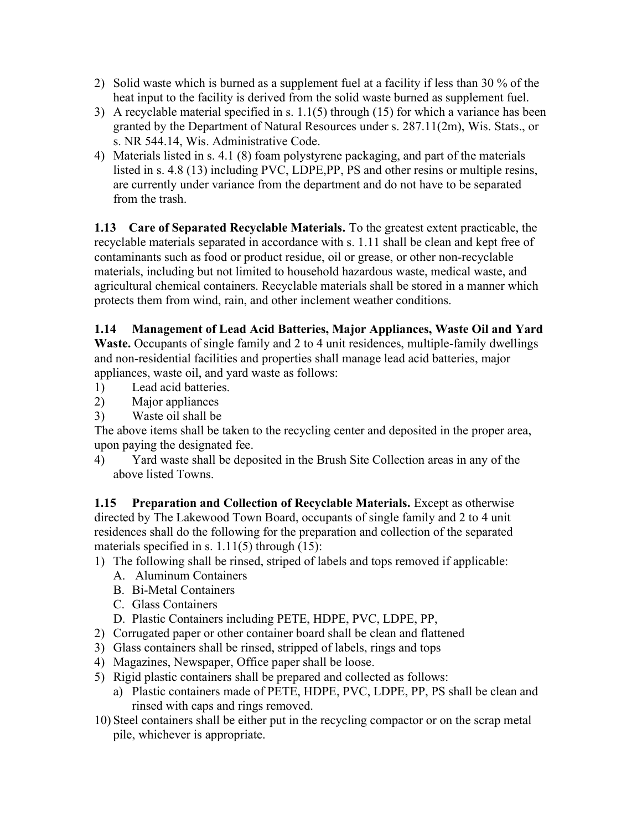- 2) Solid waste which is burned as a supplement fuel at a facility if less than 30 % of the heat input to the facility is derived from the solid waste burned as supplement fuel.
- 3) A recyclable material specified in s. 1.1(5) through (15) for which a variance has been granted by the Department of Natural Resources under s. 287.11(2m), Wis. Stats., or s. NR 544.14, Wis. Administrative Code.
- 4) Materials listed in s. 4.1 (8) foam polystyrene packaging, and part of the materials listed in s. 4.8 (13) including PVC, LDPE,PP, PS and other resins or multiple resins, are currently under variance from the department and do not have to be separated from the trash.

1.13 Care of Separated Recyclable Materials. To the greatest extent practicable, the recyclable materials separated in accordance with s. 1.11 shall be clean and kept free of contaminants such as food or product residue, oil or grease, or other non-recyclable materials, including but not limited to household hazardous waste, medical waste, and agricultural chemical containers. Recyclable materials shall be stored in a manner which protects them from wind, rain, and other inclement weather conditions.

# 1.14 Management of Lead Acid Batteries, Major Appliances, Waste Oil and Yard

Waste. Occupants of single family and 2 to 4 unit residences, multiple-family dwellings and non-residential facilities and properties shall manage lead acid batteries, major appliances, waste oil, and yard waste as follows:

- 1) Lead acid batteries.
- 2) Major appliances
- 3) Waste oil shall be

The above items shall be taken to the recycling center and deposited in the proper area, upon paying the designated fee.

4) Yard waste shall be deposited in the Brush Site Collection areas in any of the above listed Towns.

1.15 Preparation and Collection of Recyclable Materials. Except as otherwise directed by The Lakewood Town Board, occupants of single family and 2 to 4 unit residences shall do the following for the preparation and collection of the separated materials specified in s.  $1.11(5)$  through  $(15)$ :

- 1) The following shall be rinsed, striped of labels and tops removed if applicable:
	- A. Aluminum Containers
	- B. Bi-Metal Containers
	- C. Glass Containers
	- D. Plastic Containers including PETE, HDPE, PVC, LDPE, PP,
- 2) Corrugated paper or other container board shall be clean and flattened
- 3) Glass containers shall be rinsed, stripped of labels, rings and tops
- 4) Magazines, Newspaper, Office paper shall be loose.
- 5) Rigid plastic containers shall be prepared and collected as follows:
	- a) Plastic containers made of PETE, HDPE, PVC, LDPE, PP, PS shall be clean and rinsed with caps and rings removed.
- 10) Steel containers shall be either put in the recycling compactor or on the scrap metal pile, whichever is appropriate.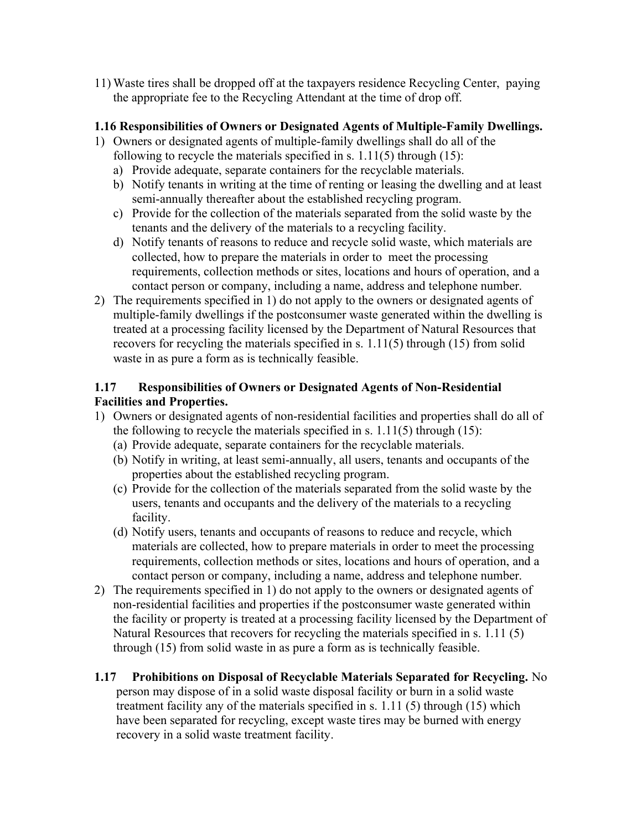11) Waste tires shall be dropped off at the taxpayers residence Recycling Center, paying the appropriate fee to the Recycling Attendant at the time of drop off.

#### 1.16 Responsibilities of Owners or Designated Agents of Multiple-Family Dwellings.

- 1) Owners or designated agents of multiple-family dwellings shall do all of the following to recycle the materials specified in s.  $1.11(5)$  through  $(15)$ :
	- a) Provide adequate, separate containers for the recyclable materials.
	- b) Notify tenants in writing at the time of renting or leasing the dwelling and at least semi-annually thereafter about the established recycling program.
	- c) Provide for the collection of the materials separated from the solid waste by the tenants and the delivery of the materials to a recycling facility.
	- d) Notify tenants of reasons to reduce and recycle solid waste, which materials are collected, how to prepare the materials in order to meet the processing requirements, collection methods or sites, locations and hours of operation, and a contact person or company, including a name, address and telephone number.
- 2) The requirements specified in 1) do not apply to the owners or designated agents of multiple-family dwellings if the postconsumer waste generated within the dwelling is treated at a processing facility licensed by the Department of Natural Resources that recovers for recycling the materials specified in s. 1.11(5) through (15) from solid waste in as pure a form as is technically feasible.

### 1.17 Responsibilities of Owners or Designated Agents of Non-Residential Facilities and Properties.

- 1) Owners or designated agents of non-residential facilities and properties shall do all of the following to recycle the materials specified in s.  $1.11(5)$  through  $(15)$ :
	- (a) Provide adequate, separate containers for the recyclable materials.
	- (b) Notify in writing, at least semi-annually, all users, tenants and occupants of the properties about the established recycling program.
	- (c) Provide for the collection of the materials separated from the solid waste by the users, tenants and occupants and the delivery of the materials to a recycling facility.
	- (d) Notify users, tenants and occupants of reasons to reduce and recycle, which materials are collected, how to prepare materials in order to meet the processing requirements, collection methods or sites, locations and hours of operation, and a contact person or company, including a name, address and telephone number.
- 2) The requirements specified in 1) do not apply to the owners or designated agents of non-residential facilities and properties if the postconsumer waste generated within the facility or property is treated at a processing facility licensed by the Department of Natural Resources that recovers for recycling the materials specified in s. 1.11 (5) through (15) from solid waste in as pure a form as is technically feasible.

# 1.17 Prohibitions on Disposal of Recyclable Materials Separated for Recycling. No person may dispose of in a solid waste disposal facility or burn in a solid waste

treatment facility any of the materials specified in s. 1.11 (5) through (15) which have been separated for recycling, except waste tires may be burned with energy recovery in a solid waste treatment facility.